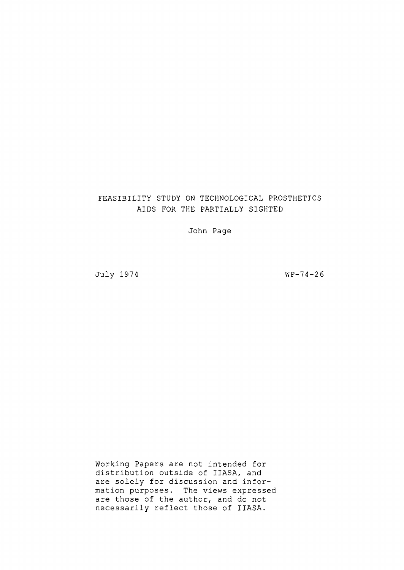## FEASIBILITY STUDY ON TECHNOLOGICAL PROSTHETICS AIDS FOR THE PARTIALLY SIGHTED

John Page

July 1974

WP-74-26

Working Papers are not intended for distribution outside of IIASA, and are solely for discussion and information purposes. The views expressed are those of the author, and do not necessarily reflect those of IIASA.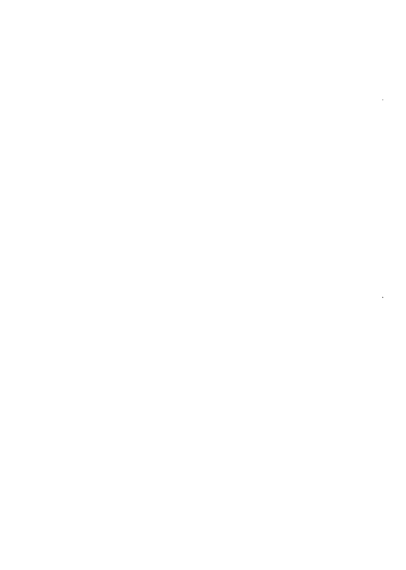$\epsilon$  $\star$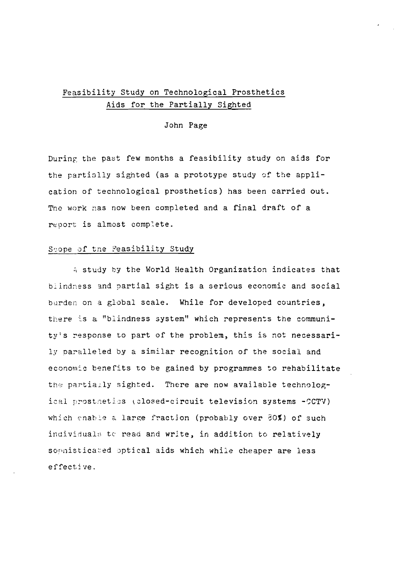# Feasibility Study on Technological Prosthetics Aids for the Partially Sighted

John Page

During the past few months a feasibility study on aids for the partially sighted (as a prototype study of the application of technological prosthetics) has been carried out. The work nas now been completed and a final draft of a report is almost complete.

### Scope of the Feasibility Study

A study by the World Health Organization indicates that blindness and partial sight is a serious economic and social burden on a global scale. While for developed countries, there is a "blindness system" which represents the community's response to part of the problem, this is not necessarily paralleled by a similar recognition of the social and economic benefits to be gained by programmes to rehabilitate the partially sighted. There are now available technological prosthetics (closed-circuit television systems -SCTV) which enable a large fraction (probably over 30%) of such individuals to read and write, in addition to relatively sophisticated optical aids which while cheaper are less effect.ive.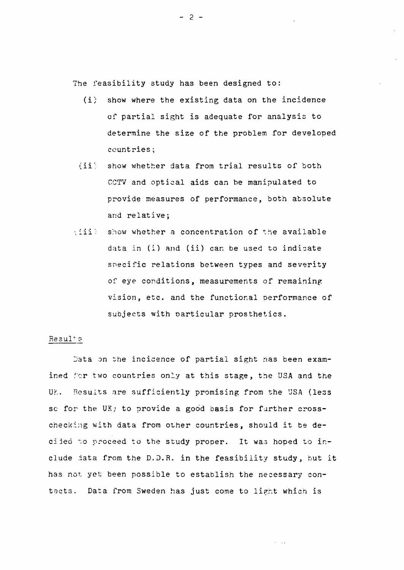The feasibility study has been designed to:

- (i) show where the existing data on the incidence of partial sight is adequate for analysis to determine the size of the problem for developed countries;
- $(i)$  show whether data from trial results of both CCTV and optical aids can be manipulated to provide measures of performance, both absolute and relative;
- ${iii}$  show whether a concentration of the available data in (i) and (ii) can be used to indicate specific relations between types and severity of eye conditions, measurements of remaining vision, etc. and the functional performance of subjects with oarticular prosthetics.

### Resul'·s

Data on the incidence of partial sight has been examined for two countries only at this stage, the USA and the UK. Results are sufficiently promising from the USA (less sc for the UK) to provide a good basis for further crosschecking with data from other countries, should it be decijed to proceed to the study proper. It was hoped to include iata from the D.J.R. in the feasibility study, hut it has not yet been possible to establish the necessary contacts. Data from Sweden has just come to light which is

 $\epsilon = 1.4$ 

- 2 -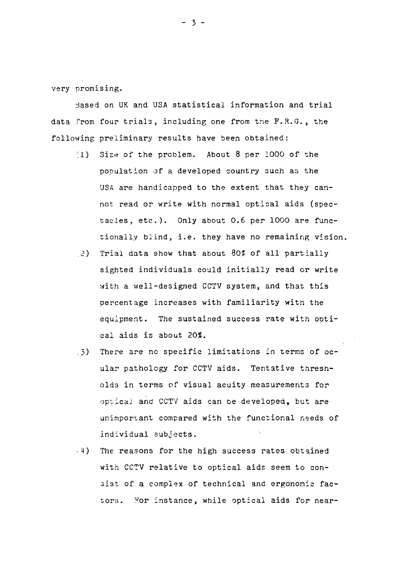very promising.

Based on UK and USA statistical information and trial data from four tria13, including one from the F.R.G., the following preliminary results have been obtained:

- $(1)$  Size of the problem. About 8 per 1000 of the population of a developed country such as the USA are handicapped to the extent that they cannot read or write with normal optical aids (spectacles, etc.). Only about 0.6 per 1000 are functionally blind, i.e. they have no remaining vision .
- .2) Trial data show that about 80% of all partially sighted individuals could initially read or write with a well-designed CCTV system, and that this percentage increases with familiarity with the equipment. The sustained success rate with optical aids is about 20%.
- 3) There are no specific limitations in terms of ocular pathology for CCTV aids. Tentative thresholds in terms of visual acuity measurements for optical and CCTV aids can be developed, but are unimportant compared with the functional needs of individual subjects .
- $.4$ ) The reasons for the high success rates obtained with CCTV relative to optical aids seem to consist of a complex of technical and ergonomic factors. For instance, while optical aids for near-

- 3 -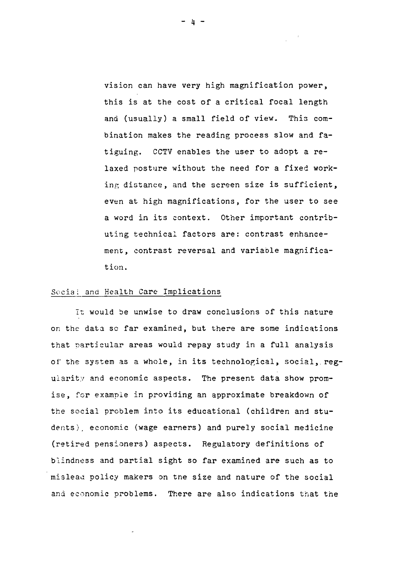vision can have very high magnification power, this is at the cost of a critical focal length and (usually) a small field of view. This combination makes the reading process slow and fatiguing. CCTV enables the user to adopt a relaxed posture without the need for a fixed working distance, and the screen size is sufficient, even at high magnifications, for the user to see <sup>a</sup> word in its context. Other important contributing technical factors are: contrast enhancement, contrast reversal and variable magnification.

### Socia: and Health Care Implications

It would be unwise to draw conclusions of this nature on the data so far examined, but there are some indications that narticular areas would repay study in a full analysis of the system as a whole, in its technological, social, regularity and economic aspects. The present data show promise, for example in providing an approximate breakdown of the social problem into its educational (children and students), economic (wage earners) and purely social medicine (retired pensioners) aspects. Regulatory definitions of blindness and partial sight so far examined are such as to mislead policy makers on the size and nature of the social and economic problems. There are also indications that the

 $\mu$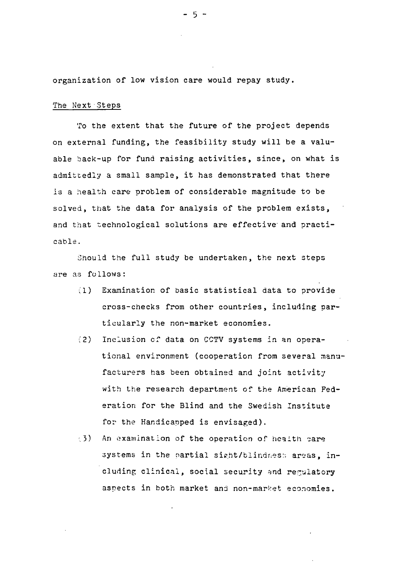organization of low vision care would repay study.

### The Next Steps

To the extent that the future of the project depends on external funding, the feasibility study will be a valuable hack-up for fund raising activities, since, on what is admittedly <sup>a</sup> small sample, it has demonstrated that there is a health care problem of considerable magnitude to be solved, that the data for analysis of the problem exists, and that technological solutions are effective' and practicable.

Should the full study be undertaken, the next steps are as follows:

- {l) Examination of basic statistical data to provide cross-checks from other countries, including particularly the non-market economies.
- $(2)$  Inclusion of data on CCTV systems in an operational environment (cooperation from several manufacturers has been obtained and joint activity with the research department of the American Federation for the Blind and the Swedish Institute for the Handicapped is envisaged).
- $(3)$  An examination of the operation of health care systems in the partial sight/blindnes: areas, including clinical, social security and regulatory aspects in both market and non-market economies.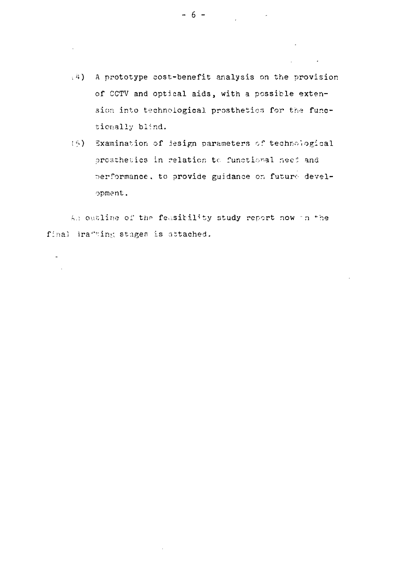- $(4)$  A prototype cost-benefit analysis on the provision of CCTV and optical aids, with a possible extension into technological prostheties for the functionally blind.
- (5) Examination of lesign parameters of technological prosthetics in relation to functional need and performance, to provide guidance on future development.

An outline of the feasibility study report now in the final irafting stages is attached.

 $\omega_{\rm{max}}$ 

 $-6-$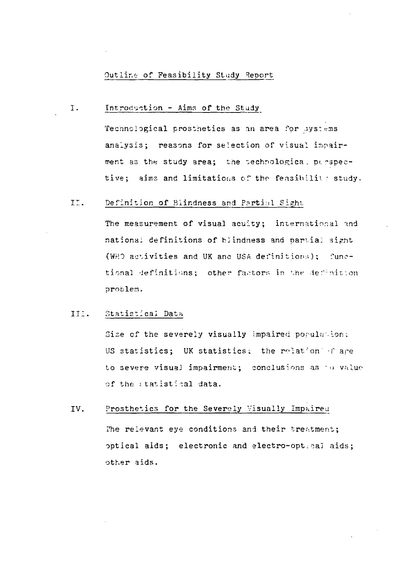## Outline of Feasibility Study Report

#### Introduction - Aims of the Study I.

Technological prosthetics as an area for systems analysis; reasons for selection of visual impairment as the study area; the technological parspective; aims and limitations of the feasibility study.

#### Definition of Blindness and Partial Sight II.

The measurement of visual acuity; international and national definitions of blindness and partial sight (WHO activities and UK and USA definitions); functional definitions; other factors in the definition problem.

#### III. Statistical Data

Size of the severely visually impaired population; US statistics; UK statistics; the relation of are to severe visual impairment; conclusions as to value of the statistical data.

#### IV. Prosthetics for the Severely Visually Impaired

The relevant eye conditions and their treatment; optical aids; electronic and electro-opteral aids; other aids.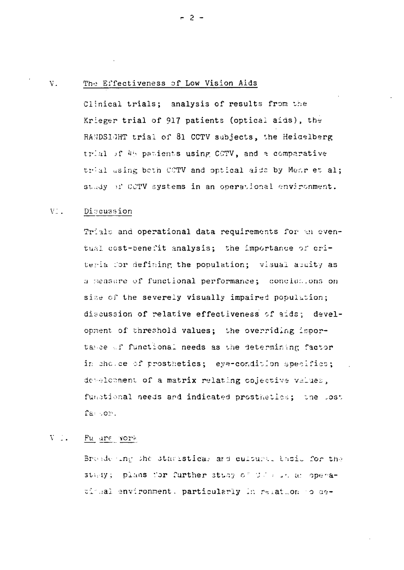#### $\rm V$  . The Effectiveness of Low Vision Aids

Clinical trials; analysis of results from the Krieger trial of 917 patients (optical aids), the RANDSIGHT trial of 81 CCTV subjects, the Heidelberg trial of 48 patients using COTV, and a comparative trial asing both CCTV and optical aids by Mear et al; stady of CCTV systems in an operational environment.

#### $V_{-}$ . Discussion

Trials and operational data requirements for an eventual cost-benefit analysis; the importance of criteria for defining the population; visual admity as a measure of functional performance; conclumions on size of the severely visually impaired population; discussion of relative effectiveness of aids; development of threshold values; the overriding importable of functional needs as the determining factor in chose of prosthetics; eye-condition specifies; development of a matrix relating cojective values, functional needs and indicated prosthetles; the lost famor.

### $\nabla^2 \mathcal{L}_{\bullet}$  . Fu are vork

Broade uns the statistical and cultural basis for the starty; plans for further study of the in an operatimual environment, particularly in relation to de-

 $-2-$